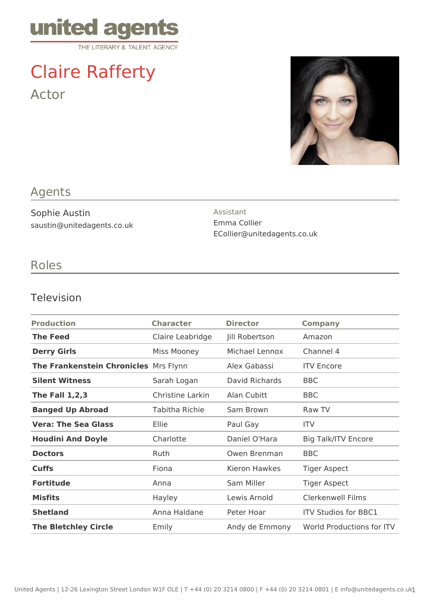

# Claire Rafferty Actor



## Agents

Sophie Austin saustin@unitedagents.co.uk Assistant Emma Collier ECollier@unitedagents.co.uk

## Roles

#### Television

| <b>Production</b>                     | <b>Character</b>   | <b>Director</b> | <b>Company</b>              |
|---------------------------------------|--------------------|-----------------|-----------------------------|
| <b>The Feed</b>                       | Claire Leabridge   | Jill Robertson  | Amazon                      |
| <b>Derry Girls</b>                    | <b>Miss Mooney</b> | Michael Lennox  | Channel 4                   |
| The Frankenstein Chronicles Mrs Flynn |                    | Alex Gabassi    | <b>ITV Encore</b>           |
| <b>Silent Witness</b>                 | Sarah Logan        | David Richards  | <b>BBC</b>                  |
| <b>The Fall 1,2,3</b>                 | Christine Larkin   | Alan Cubitt     | <b>BBC</b>                  |
| <b>Banged Up Abroad</b>               | Tabitha Richie     | Sam Brown       | Raw TV                      |
| <b>Vera: The Sea Glass</b>            | Ellie              | Paul Gay        | <b>ITV</b>                  |
| <b>Houdini And Doyle</b>              | Charlotte          | Daniel O'Hara   | <b>Big Talk/ITV Encore</b>  |
| <b>Doctors</b>                        | Ruth               | Owen Brenman    | <b>BBC</b>                  |
| <b>Cuffs</b>                          | Fiona              | Kieron Hawkes   | <b>Tiger Aspect</b>         |
| <b>Fortitude</b>                      | Anna               | Sam Miller      | <b>Tiger Aspect</b>         |
| <b>Misfits</b>                        | Hayley             | Lewis Arnold    | <b>Clerkenwell Films</b>    |
| <b>Shetland</b>                       | Anna Haldane       | Peter Hoar      | <b>ITV Studios for BBC1</b> |
| <b>The Bletchley Circle</b>           | Emily              | Andy de Emmony  | World Productions for ITV   |
|                                       |                    |                 |                             |